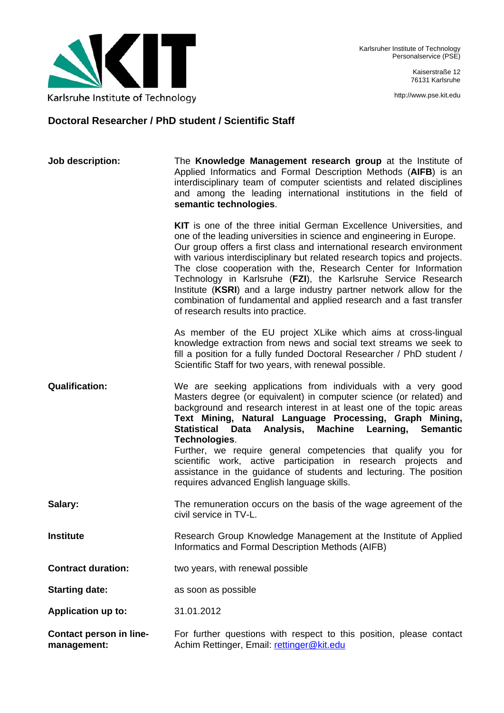

Kaiserstraße 12 76131 Karlsruhe

http://www.pse.kit.edu

## **Doctoral Researcher / PhD student / Scientific Staff**

| Job description:                              | The Knowledge Management research group at the Institute of<br>Applied Informatics and Formal Description Methods (AIFB) is an<br>interdisciplinary team of computer scientists and related disciplines<br>and among the leading international institutions in the field of<br>semantic technologies.                                                                                                                                                                                                                                                                                                                     |
|-----------------------------------------------|---------------------------------------------------------------------------------------------------------------------------------------------------------------------------------------------------------------------------------------------------------------------------------------------------------------------------------------------------------------------------------------------------------------------------------------------------------------------------------------------------------------------------------------------------------------------------------------------------------------------------|
|                                               | KIT is one of the three initial German Excellence Universities, and<br>one of the leading universities in science and engineering in Europe.<br>Our group offers a first class and international research environment<br>with various interdisciplinary but related research topics and projects.<br>The close cooperation with the, Research Center for Information<br>Technology in Karlsruhe (FZI), the Karlsruhe Service Research<br>Institute (KSRI) and a large industry partner network allow for the<br>combination of fundamental and applied research and a fast transfer<br>of research results into practice. |
|                                               | As member of the EU project XLike which aims at cross-lingual<br>knowledge extraction from news and social text streams we seek to<br>fill a position for a fully funded Doctoral Researcher / PhD student /<br>Scientific Staff for two years, with renewal possible.                                                                                                                                                                                                                                                                                                                                                    |
| <b>Qualification:</b>                         | We are seeking applications from individuals with a very good<br>Masters degree (or equivalent) in computer science (or related) and<br>background and research interest in at least one of the topic areas<br>Text Mining, Natural Language Processing, Graph Mining,<br>Statistical Data Analysis, Machine Learning, Semantic<br>Technologies.<br>Further, we require general competencies that qualify you for<br>scientific work, active participation in research projects and<br>assistance in the guidance of students and lecturing. The position<br>requires advanced English language skills.                   |
| Salary:                                       | The remuneration occurs on the basis of the wage agreement of the<br>civil service in TV-L.                                                                                                                                                                                                                                                                                                                                                                                                                                                                                                                               |
| <b>Institute</b>                              | Research Group Knowledge Management at the Institute of Applied<br>Informatics and Formal Description Methods (AIFB)                                                                                                                                                                                                                                                                                                                                                                                                                                                                                                      |
| <b>Contract duration:</b>                     | two years, with renewal possible                                                                                                                                                                                                                                                                                                                                                                                                                                                                                                                                                                                          |
| <b>Starting date:</b>                         | as soon as possible                                                                                                                                                                                                                                                                                                                                                                                                                                                                                                                                                                                                       |
| <b>Application up to:</b>                     | 31.01.2012                                                                                                                                                                                                                                                                                                                                                                                                                                                                                                                                                                                                                |
| <b>Contact person in line-</b><br>management: | For further questions with respect to this position, please contact<br>Achim Rettinger, Email: rettinger@kit.edu                                                                                                                                                                                                                                                                                                                                                                                                                                                                                                          |